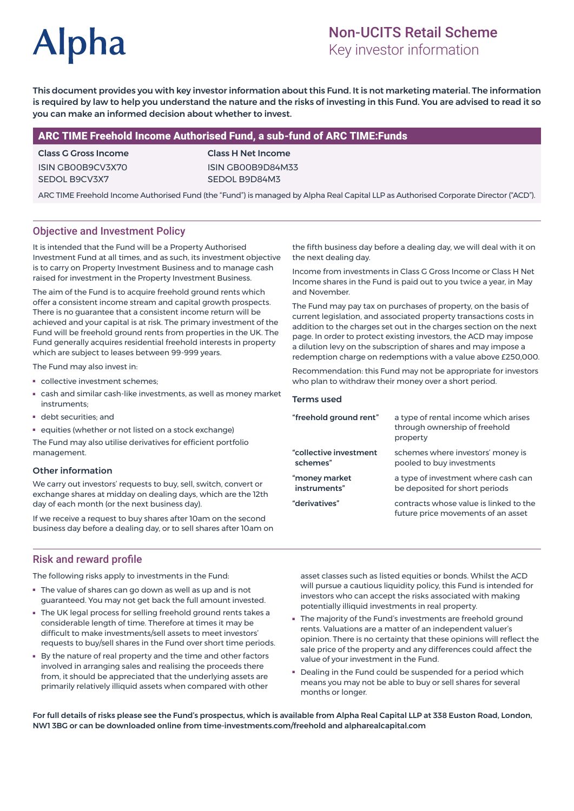# **Alpha**

# Non-UCITS Retail Scheme

Key investor information

This document provides you with key investor information about this Fund. It is not marketing material. The information is required by law to help you understand the nature and the risks of investing in this Fund. You are advised to read it so you can make an informed decision about whether to invest.

#### ARC TIME Freehold Income Authorised Fund, a sub-fund of ARC TIME:Funds

#### Class G Gross Income ISIN GB00B9CV3X70 SEDOL B9CV3X7

Class H Net Income ISIN GB00B9D84M33 SEDOL B9D84M3

ARC TIME Freehold Income Authorised Fund (the "Fund") is managed by Alpha Real Capital LLP as Authorised Corporate Director ("ACD").

### Objective and Investment Policy

It is intended that the Fund will be a Property Authorised Investment Fund at all times, and as such, its investment objective is to carry on Property Investment Business and to manage cash raised for investment in the Property Investment Business.

The aim of the Fund is to acquire freehold ground rents which offer a consistent income stream and capital growth prospects. There is no guarantee that a consistent income return will be achieved and your capital is at risk. The primary investment of the Fund will be freehold ground rents from properties in the UK. The Fund generally acquires residential freehold interests in property which are subject to leases between 99-999 years.

The Fund may also invest in:

- collective investment schemes;
- cash and similar cash-like investments, as well as money market instruments;
- debt securities; and
- equities (whether or not listed on a stock exchange)

The Fund may also utilise derivatives for efficient portfolio management.

#### Other information

We carry out investors' requests to buy, sell, switch, convert or exchange shares at midday on dealing days, which are the 12th day of each month (or the next business day).

If we receive a request to buy shares after 10am on the second business day before a dealing day, or to sell shares after 10am on

the fifth business day before a dealing day, we will deal with it on the next dealing day.

Income from investments in Class G Gross Income or Class H Net Income shares in the Fund is paid out to you twice a year, in May and November.

The Fund may pay tax on purchases of property, on the basis of current legislation, and associated property transactions costs in addition to the charges set out in the charges section on the next page. In order to protect existing investors, the ACD may impose a dilution levy on the subscription of shares and may impose a redemption charge on redemptions with a value above £250,000.

Recommendation: this Fund may not be appropriate for investors who plan to withdraw their money over a short period.

#### Terms used

| "freehold ground rent" | a type of rental income which arises<br>through ownership of freehold<br>property |
|------------------------|-----------------------------------------------------------------------------------|
| "collective investment | schemes where investors' money is                                                 |
| schemes"               | pooled to buy investments                                                         |
| "money market          | a type of investment where cash can                                               |
| instruments"           | be deposited for short periods                                                    |
| "derivatives"          | contracts whose value is linked to the<br>future price movements of an asset      |

#### Risk and reward profile

The following risks apply to investments in the Fund:

- The value of shares can go down as well as up and is not guaranteed. You may not get back the full amount invested.
- The UK legal process for selling freehold ground rents takes a considerable length of time. Therefore at times it may be difficult to make investments/sell assets to meet investors' requests to buy/sell shares in the Fund over short time periods.
- By the nature of real property and the time and other factors involved in arranging sales and realising the proceeds there from, it should be appreciated that the underlying assets are primarily relatively illiquid assets when compared with other

asset classes such as listed equities or bonds. Whilst the ACD will pursue a cautious liquidity policy, this Fund is intended for investors who can accept the risks associated with making potentially illiquid investments in real property.

- The majority of the Fund's investments are freehold ground rents. Valuations are a matter of an independent valuer's opinion. There is no certainty that these opinions will reflect the sale price of the property and any differences could affect the value of your investment in the Fund.
- Dealing in the Fund could be suspended for a period which means you may not be able to buy or sell shares for several months or longer.

For full details of risks please see the Fund's prospectus, which is available from Alpha Real Capital LLP at 338 Euston Road, London, NW1 3BG or can be downloaded online from time-investments.com/freehold and alpharealcapital.com